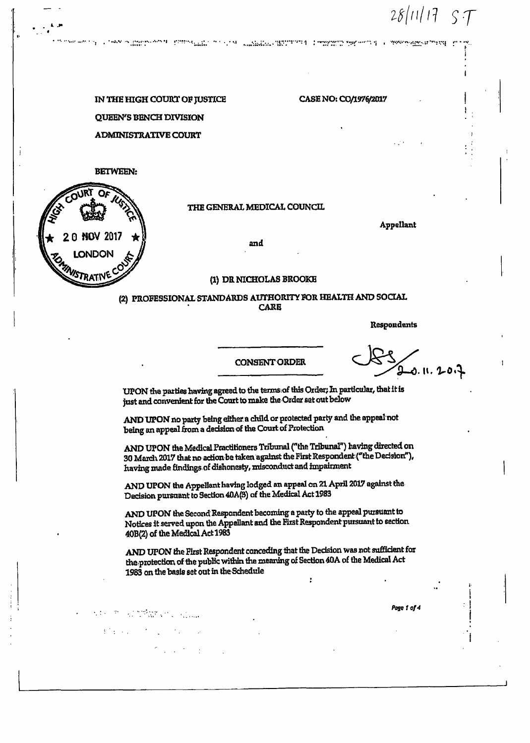$28/11/17$  $\varsigma$   $\tau$ 

IN THE HIGH COURT OF JUSTICE QUEEN'S BENCH DIVISION **ADMINISTRATIVE COURT** 

vis e determination

 $\label{eq:3.1} \frac{1}{2}\left(\frac{1}{2}+\frac{1}{2}\right) \left(\frac{1}{2}+\frac{1}{2}\right) \left(\frac{1}{2}+\frac{1}{2}\right) \left(\frac{1}{2}+\frac{1}{2}\right) \left(\frac{1}{2}+\frac{1}{2}\right) \left(\frac{1}{2}+\frac{1}{2}\right) \left(\frac{1}{2}+\frac{1}{2}\right) \left(\frac{1}{2}+\frac{1}{2}\right) \left(\frac{1}{2}+\frac{1}{2}\right) \left(\frac{1}{2}+\frac{1}{2}\right) \left(\frac{1}{2}+\frac{1}{2}\right) \left(\frac{1}{$ 

 $\sigma_{\rm{max}} \sim 10^{-11}$ 

## **BETWEEN:**



# THE GENERAL MEDICAL COUNCIL

The series of the complete the state of the complete substance of the series of the proposition of t

**Appellant** 

CASE NO: CO/1976/2017

and

### (1) DR NICHOLAS BROOKE

## (2) PROFESSIONAL STANDARDS AUTHORITY FOR HEALTH AND SOCIAL **CARE**

**Respondents** 

#### **CONSENT ORDER**

s. II. 20i

UPON the parties having agreed to the terms of this Order; In particular, that it is just and convenient for the Court to make the Order set out below

AND UPON no party being either a child or protected party and the appeal not being an appeal from a decision of the Court of Protection

AND UPON the Medical Practitioners Tribunal ("the Tribunal") having directed on 30 March 2017 that no action be taken against the First Respondent ("the Decision"), having made findings of dishonesty, misconduct and impairment

AND UPON the Appellant having lodged an appeal on 21 April 2017 against the Decision pursuant to Section 40A(3) of the Medical Act 1983

AND UPON the Second Respondent becoming a party to the appeal pursuant to Notices it served upon the Appellant and the First Respondent pursuant to section 40B(2) of the Medical Act 1983

AND UPON the First Respondent conceding that the Decision was not sufficient for the protection of the public within the meaning of Section 40A of the Medical Act 1983 on the basis set out in the Schedule ż

Page 1 of 4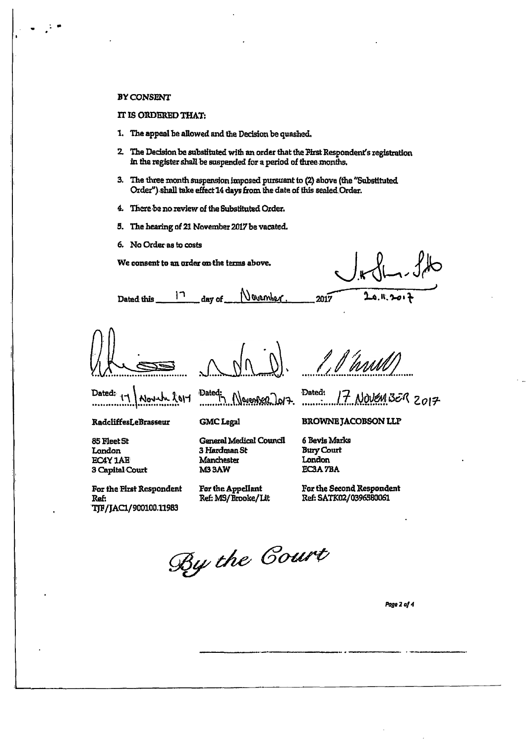### **BY CONSENT**

# IT IS ORDERED THAT:

- 1. The appeal be allowed and the Decision be quashed.
- 2. The Decision be substituted with an order that the First Respondent's registration in the register shall be suspended for a period of three months.
- 3. The three month suspension imposed pursuant to (2) above (the "Substituted Order") shall take effect 14 days from the date of this sealed Order.
- 4. There be no review of the Substituted Order.
- 5. The hearing of 21 November 2017 be vacated.
- 6. No Order as to costs

We consent to an order on the terms above.

 $20.1, 20.7$ 

 $17$ Vovember Dated this day of

1,1 hrvul

Dated: Novel  $k$ ory

RadcliffesLeBrasseur

85 Fleet St London **EC4Y 1AB** 3 Capital Court

For the First Respondent Ref: TJF/JAC1/900100.11983

Dated: Algrenter Jarz.

**Ganeral Medical Council** 

**GMC** Legal

3 Hardman St

For the Appellant

Ref: MS/Brooke/Lit

Manchester

**M33AW** 

**BROWNE JACOBSON LLP** 

Dated:  $17$  NOVEM BER 2017

6 Bevis Marks **Bury Court** London EC3A 7BA

2017

For the Second Respondent Ref: SATK02/0396580061

By the Court

Page 2 of 4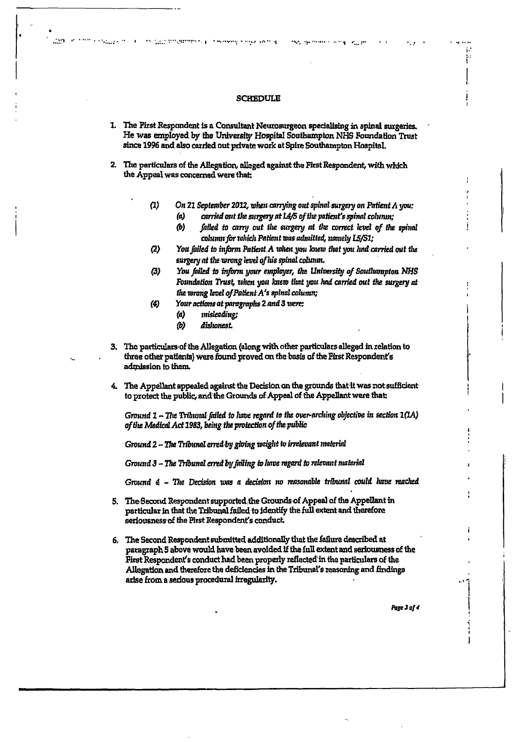### **SCHEDULE**

- 1. The First Respondent is a Consultant Neurosurgeon specialising in spinal surgeries. He was employed by the University Hospital Southampton NHS Foundation Trust since 1996 and also carried out private work at Spire Southampton Hospital.
- 2. The particulars of the Allegation, alleged against the First Respondent, with which the Appeal was concerned were that:
	- $(1)$ On 21 September 2012, when carrying out spinal surgery on Patient A you:
		- carried out the surgery at IA/5 of the patient's spinal colunin;  $(a)$
		- $(b)$ failed to carry out the surgery at the correct level of the spinal column for which Patient was admitted, namely L5/S1;

**Hope and House** 

i. ł.

- You failed to inform Patient A when you knew that you hnd carried out the  $(2)$ surgery at the wrong level of his spinal column.
- $(3)$ You failed to inform your employer, the University of Southampton NHS Foundation Trust, when you knew that you had carried out the surgery at the wrong level of Patient A's spinal column;
- Your actions at paragraphs 2 and 3 were:  $\left( 4\right)$ 
	- $(a)$ misleading;

the CLC 2010/RESIDENCE. Considering in their control

1,559

- dislumest  $(b)$
- The particulars of the Allegation (along with other particulars alleged in relation to 3. three other patients) were found proved on the basis of the First Respondent's admission to them.
- 4. The Appellant appealed against the Decision on the grounds that it was not sufficient to protect the public, and the Grounds of Appeal of the Appellant were that:

Ground  $1$  – The Tribunal failed to have regard to the over-arching objective in section  $1(1A)$ of the Medical Act 1983, being the protection of the public

Ground 2 - The Tribunal erred by giving weight to irrelevant material

Ground 3 - The Tribunal erred by failing to luve regard to relevant material

Ground 4 - The Decision was a decision no reasonable tribunal could have reached

- 5. The Second Respondent supported the Grounds of Appeal of the Appellant in particular in that the Tribunal failed to identify the full extent and therefore seriousness of the First Respondent's conduct.
- 6. The Second Respondent submitted additionally that the failure described at paragraph 5 above would have been avoided if the full extent and seriousness of the First Respondent's conduct had been properly reflected in the particulars of the Allegation and therefore the deficiencies in the Tribunal's reasoning and findings arise from a serious procedural irregularity.

Page 3 of 4